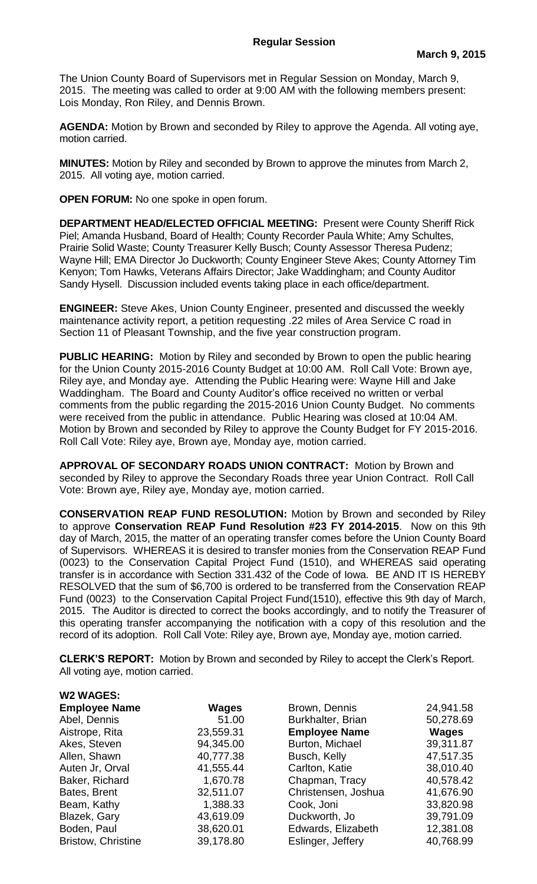The Union County Board of Supervisors met in Regular Session on Monday, March 9, 2015. The meeting was called to order at 9:00 AM with the following members present: Lois Monday, Ron Riley, and Dennis Brown.

**AGENDA:** Motion by Brown and seconded by Riley to approve the Agenda. All voting aye, motion carried.

**MINUTES:** Motion by Riley and seconded by Brown to approve the minutes from March 2, 2015. All voting aye, motion carried.

**OPEN FORUM:** No one spoke in open forum.

**DEPARTMENT HEAD/ELECTED OFFICIAL MEETING:** Present were County Sheriff Rick Piel; Amanda Husband, Board of Health; County Recorder Paula White; Amy Schultes, Prairie Solid Waste; County Treasurer Kelly Busch; County Assessor Theresa Pudenz; Wayne Hill; EMA Director Jo Duckworth; County Engineer Steve Akes; County Attorney Tim Kenyon; Tom Hawks, Veterans Affairs Director; Jake Waddingham; and County Auditor Sandy Hysell. Discussion included events taking place in each office/department.

**ENGINEER:** Steve Akes, Union County Engineer, presented and discussed the weekly maintenance activity report, a petition requesting .22 miles of Area Service C road in Section 11 of Pleasant Township, and the five year construction program.

**PUBLIC HEARING:** Motion by Riley and seconded by Brown to open the public hearing for the Union County 2015-2016 County Budget at 10:00 AM. Roll Call Vote: Brown aye, Riley aye, and Monday aye. Attending the Public Hearing were: Wayne Hill and Jake Waddingham. The Board and County Auditor's office received no written or verbal comments from the public regarding the 2015-2016 Union County Budget. No comments were received from the public in attendance. Public Hearing was closed at 10:04 AM. Motion by Brown and seconded by Riley to approve the County Budget for FY 2015-2016. Roll Call Vote: Riley aye, Brown aye, Monday aye, motion carried.

**APPROVAL OF SECONDARY ROADS UNION CONTRACT:** Motion by Brown and seconded by Riley to approve the Secondary Roads three year Union Contract. Roll Call Vote: Brown aye, Riley aye, Monday aye, motion carried.

**CONSERVATION REAP FUND RESOLUTION:** Motion by Brown and seconded by Riley to approve **Conservation REAP Fund Resolution #23 FY 2014-2015**. Now on this 9th day of March, 2015, the matter of an operating transfer comes before the Union County Board of Supervisors. WHEREAS it is desired to transfer monies from the Conservation REAP Fund (0023) to the Conservation Capital Project Fund (1510), and WHEREAS said operating transfer is in accordance with Section 331.432 of the Code of Iowa. BE AND IT IS HEREBY RESOLVED that the sum of \$6,700 is ordered to be transferred from the Conservation REAP Fund (0023) to the Conservation Capital Project Fund(1510), effective this 9th day of March, 2015. The Auditor is directed to correct the books accordingly, and to notify the Treasurer of this operating transfer accompanying the notification with a copy of this resolution and the record of its adoption. Roll Call Vote: Riley aye, Brown aye, Monday aye, motion carried.

**CLERK'S REPORT:** Motion by Brown and seconded by Riley to accept the Clerk's Report. All voting aye, motion carried.

| <b>W2 WAGES:</b>          |           |                      |              |
|---------------------------|-----------|----------------------|--------------|
| <b>Employee Name</b>      | Wages     | Brown, Dennis        | 24,941.58    |
| Abel, Dennis              | 51.00     | Burkhalter, Brian    | 50,278.69    |
| Aistrope, Rita            | 23,559.31 | <b>Employee Name</b> | <b>Wages</b> |
| Akes, Steven              | 94,345.00 | Burton, Michael      | 39,311.87    |
| Allen, Shawn              | 40,777.38 | Busch, Kelly         | 47,517.35    |
| Auten Jr, Orval           | 41,555.44 | Carlton, Katie       | 38,010.40    |
| Baker, Richard            | 1,670.78  | Chapman, Tracy       | 40,578.42    |
| Bates, Brent              | 32,511.07 | Christensen, Joshua  | 41,676.90    |
| Beam, Kathy               | 1,388.33  | Cook, Joni           | 33,820.98    |
| Blazek, Gary              | 43,619.09 | Duckworth, Jo        | 39,791.09    |
| Boden, Paul               | 38,620.01 | Edwards, Elizabeth   | 12,381.08    |
| <b>Bristow, Christine</b> | 39,178.80 | Eslinger, Jeffery    | 40,768.99    |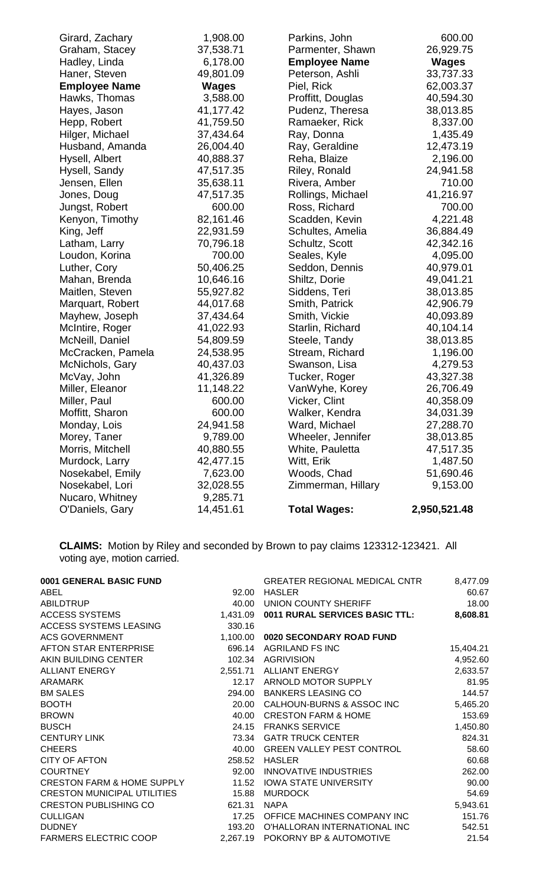| Girard, Zachary      | 1,908.00     | Parkins, John        | 600.00       |
|----------------------|--------------|----------------------|--------------|
| Graham, Stacey       | 37,538.71    | Parmenter, Shawn     | 26,929.75    |
| Hadley, Linda        | 6,178.00     | <b>Employee Name</b> | <b>Wages</b> |
| Haner, Steven        | 49,801.09    | Peterson, Ashli      | 33,737.33    |
| <b>Employee Name</b> | <b>Wages</b> | Piel, Rick           | 62,003.37    |
| Hawks, Thomas        | 3,588.00     | Proffitt, Douglas    | 40,594.30    |
| Hayes, Jason         | 41,177.42    | Pudenz, Theresa      | 38,013.85    |
| Hepp, Robert         | 41,759.50    | Ramaeker, Rick       | 8,337.00     |
| Hilger, Michael      | 37,434.64    | Ray, Donna           | 1,435.49     |
| Husband, Amanda      | 26,004.40    | Ray, Geraldine       | 12,473.19    |
| Hysell, Albert       | 40,888.37    | Reha, Blaize         | 2,196.00     |
| Hysell, Sandy        | 47,517.35    | Riley, Ronald        | 24,941.58    |
| Jensen, Ellen        | 35,638.11    | Rivera, Amber        | 710.00       |
| Jones, Doug          | 47,517.35    | Rollings, Michael    | 41,216.97    |
| Jungst, Robert       | 600.00       | Ross, Richard        | 700.00       |
| Kenyon, Timothy      | 82,161.46    | Scadden, Kevin       | 4,221.48     |
| King, Jeff           | 22,931.59    | Schultes, Amelia     | 36,884.49    |
| Latham, Larry        | 70,796.18    | Schultz, Scott       | 42,342.16    |
| Loudon, Korina       | 700.00       | Seales, Kyle         | 4,095.00     |
| Luther, Cory         | 50,406.25    | Seddon, Dennis       | 40,979.01    |
| Mahan, Brenda        | 10,646.16    | Shiltz, Dorie        | 49,041.21    |
| Maitlen, Steven      | 55,927.82    | Siddens, Teri        | 38,013.85    |
| Marquart, Robert     | 44,017.68    | Smith, Patrick       | 42,906.79    |
| Mayhew, Joseph       | 37,434.64    | Smith, Vickie        | 40,093.89    |
| McIntire, Roger      | 41,022.93    | Starlin, Richard     | 40,104.14    |
| McNeill, Daniel      | 54,809.59    | Steele, Tandy        | 38,013.85    |
| McCracken, Pamela    | 24,538.95    | Stream, Richard      | 1,196.00     |
| McNichols, Gary      | 40,437.03    | Swanson, Lisa        | 4,279.53     |
| McVay, John          | 41,326.89    | Tucker, Roger        | 43,327.38    |
| Miller, Eleanor      | 11,148.22    | VanWyhe, Korey       | 26,706.49    |
| Miller, Paul         | 600.00       | Vicker, Clint        | 40,358.09    |
| Moffitt, Sharon      | 600.00       | Walker, Kendra       | 34,031.39    |
| Monday, Lois         | 24,941.58    | Ward, Michael        | 27,288.70    |
| Morey, Taner         | 9,789.00     | Wheeler, Jennifer    | 38,013.85    |
| Morris, Mitchell     | 40,880.55    | White, Pauletta      | 47,517.35    |
| Murdock, Larry       | 42,477.15    | Witt, Erik           | 1,487.50     |
| Nosekabel, Emily     | 7,623.00     | Woods, Chad          | 51,690.46    |
| Nosekabel, Lori      | 32,028.55    | Zimmerman, Hillary   | 9,153.00     |
| Nucaro, Whitney      | 9,285.71     |                      |              |
| O'Daniels, Gary      | 14,451.61    | <b>Total Wages:</b>  | 2,950,521.48 |

**CLAIMS:** Motion by Riley and seconded by Brown to pay claims 123312-123421. All voting aye, motion carried.

| 0001 GENERAL BASIC FUND               |          | <b>GREATER REGIONAL MEDICAL CNTR</b>    | 8,477.09  |
|---------------------------------------|----------|-----------------------------------------|-----------|
| ABEL                                  | 92.00    | <b>HASLER</b>                           | 60.67     |
| <b>ABILDTRUP</b>                      | 40.00    | UNION COUNTY SHERIFF                    | 18.00     |
| <b>ACCESS SYSTEMS</b>                 |          | 1,431.09 0011 RURAL SERVICES BASIC TTL: | 8,608.81  |
| ACCESS SYSTEMS LEASING                | 330.16   |                                         |           |
| <b>ACS GOVERNMENT</b>                 | 1,100.00 | 0020 SECONDARY ROAD FUND                |           |
| AFTON STAR ENTERPRISE                 | 696.14   | <b>AGRILAND FS INC</b>                  | 15,404.21 |
| AKIN BUILDING CENTER                  | 102.34   | <b>AGRIVISION</b>                       | 4,952.60  |
| <b>ALLIANT ENERGY</b>                 |          | 2,551.71 ALLIANT ENERGY                 | 2,633.57  |
| ARAMARK                               | 12.17    | ARNOLD MOTOR SUPPLY                     | 81.95     |
| <b>BM SALES</b>                       | 294.00   | <b>BANKERS LEASING CO</b>               | 144.57    |
| <b>BOOTH</b>                          | 20.00    | CALHOUN-BURNS & ASSOC INC               | 5,465.20  |
| <b>BROWN</b>                          | 40.00    | <b>CRESTON FARM &amp; HOME</b>          | 153.69    |
| <b>BUSCH</b>                          | 24.15    | <b>FRANKS SERVICE</b>                   | 1,450.80  |
| <b>CENTURY LINK</b>                   | 73.34    | <b>GATR TRUCK CENTER</b>                | 824.31    |
| <b>CHEERS</b>                         | 40.00    | <b>GREEN VALLEY PEST CONTROL</b>        | 58.60     |
| <b>CITY OF AFTON</b>                  | 258.52   | <b>HASLER</b>                           | 60.68     |
| <b>COURTNEY</b>                       | 92.00    | <b>INNOVATIVE INDUSTRIES</b>            | 262.00    |
| <b>CRESTON FARM &amp; HOME SUPPLY</b> | 11.52    | <b>IOWA STATE UNIVERSITY</b>            | 90.00     |
| <b>CRESTON MUNICIPAL UTILITIES</b>    | 15.88    | <b>MURDOCK</b>                          | 54.69     |
| <b>CRESTON PUBLISHING CO</b>          | 621.31   | <b>NAPA</b>                             | 5,943.61  |
| <b>CULLIGAN</b>                       | 17.25    | OFFICE MACHINES COMPANY INC             | 151.76    |
| <b>DUDNEY</b>                         | 193.20   | O'HALLORAN INTERNATIONAL INC            | 542.51    |
| <b>FARMERS ELECTRIC COOP</b>          |          | 2,267.19 POKORNY BP & AUTOMOTIVE        | 21.54     |